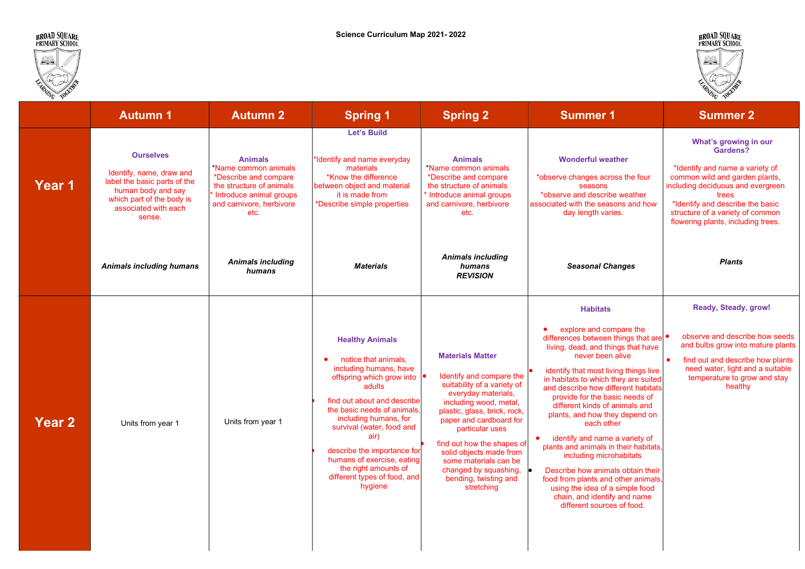

44





| EARNING TOWNS |                                                                                                                                                                   |                                                                                                                                                            |                                                                                                                                                                                                                                                                                                                                                                                          |                                                                                                                                                                                                                                                                                                                                                                     |                                                                                                                                                                                                                                                                                                                                                                                                                                                                                                                                                                                                                                                                                         | EIRNING TOURIST                                                                                                                                                                                                                                                    |
|---------------|-------------------------------------------------------------------------------------------------------------------------------------------------------------------|------------------------------------------------------------------------------------------------------------------------------------------------------------|------------------------------------------------------------------------------------------------------------------------------------------------------------------------------------------------------------------------------------------------------------------------------------------------------------------------------------------------------------------------------------------|---------------------------------------------------------------------------------------------------------------------------------------------------------------------------------------------------------------------------------------------------------------------------------------------------------------------------------------------------------------------|-----------------------------------------------------------------------------------------------------------------------------------------------------------------------------------------------------------------------------------------------------------------------------------------------------------------------------------------------------------------------------------------------------------------------------------------------------------------------------------------------------------------------------------------------------------------------------------------------------------------------------------------------------------------------------------------|--------------------------------------------------------------------------------------------------------------------------------------------------------------------------------------------------------------------------------------------------------------------|
|               | <b>Autumn 1</b>                                                                                                                                                   | <b>Autumn 2</b>                                                                                                                                            | <b>Spring 1</b>                                                                                                                                                                                                                                                                                                                                                                          | <b>Spring 2</b>                                                                                                                                                                                                                                                                                                                                                     | <b>Summer 1</b>                                                                                                                                                                                                                                                                                                                                                                                                                                                                                                                                                                                                                                                                         | <b>Summer 2</b>                                                                                                                                                                                                                                                    |
| Year 1        | <b>Ourselves</b><br>Identify, name, draw and<br>label the basic parts of the<br>human body and say<br>which part of the body is<br>associated with each<br>sense. | <b>Animals</b><br>*Name common animals<br>*Describe and compare<br>the structure of animals<br>Introduce animal groups<br>and carnivore, herbivore<br>etc. | <b>Let's Build</b><br>*Identify and name everyday<br>materials<br>*Know the difference<br>between object and material<br>it is made from<br>*Describe simple properties                                                                                                                                                                                                                  | <b>Animals</b><br>*Name common animals<br>*Describe and compare<br>the structure of animals<br>Introduce animal groups<br>and carnivore, herbivore<br>etc.                                                                                                                                                                                                          | <b>Wonderful weather</b><br>*observe changes across the four<br>seasons<br>*observe and describe weather<br>associated with the seasons and how<br>day length varies.                                                                                                                                                                                                                                                                                                                                                                                                                                                                                                                   | What's growing in our<br>Gardens?<br>*Identify and name a variety of<br>common wild and garden plants,<br>including deciduous and evergreen<br>trees<br>*Identify and describe the basic<br>structure of a variety of common<br>flowering plants, including trees. |
|               | <b>Animals including humans</b>                                                                                                                                   | <b>Animals including</b><br>humans                                                                                                                         | <b>Materials</b>                                                                                                                                                                                                                                                                                                                                                                         | <b>Animals including</b><br>humans<br><b>REVISION</b>                                                                                                                                                                                                                                                                                                               | <b>Seasonal Changes</b>                                                                                                                                                                                                                                                                                                                                                                                                                                                                                                                                                                                                                                                                 | <b>Plants</b>                                                                                                                                                                                                                                                      |
| <b>Year 2</b> | Units from year 1                                                                                                                                                 | Units from year 1                                                                                                                                          | <b>Healthy Animals</b><br>notice that animals,<br>$\bullet$<br>including humans, have<br>offspring which grow into<br>adults<br>find out about and describe<br>the basic needs of animals.<br>including humans, for<br>survival (water, food and<br>air)<br>describe the importance for<br>humans of exercise, eating<br>the right amounts of<br>different types of food, and<br>hygiene | <b>Materials Matter</b><br>Identify and compare the<br>suitability of a variety of<br>everyday materials,<br>including wood, metal,<br>plastic, glass, brick, rock,<br>paper and cardboard for<br>particular uses<br>find out how the shapes of<br>solid objects made from<br>some materials can be<br>changed by squashing,<br>bending, twisting and<br>stretching | <b>Habitats</b><br>explore and compare the<br>$\bullet$<br>differences between things that are<br>living, dead, and things that have<br>never been alive<br>identify that most living things live<br>in habitats to which they are suited<br>and describe how different habitats<br>provide for the basic needs of<br>different kinds of animals and<br>plants, and how they depend on<br>each other<br>identify and name a variety of<br>plants and animals in their habitats,<br>including microhabitats<br>Describe how animals obtain their<br>food from plants and other animals.<br>using the idea of a simple food<br>chain, and identify and name<br>different sources of food. | Ready, Steady, grow!<br>observe and describe how seeds<br>and bulbs grow into mature plants<br>$\bullet$<br>find out and describe how plants<br>need water, light and a suitable<br>temperature to grow and stay<br>healthy                                        |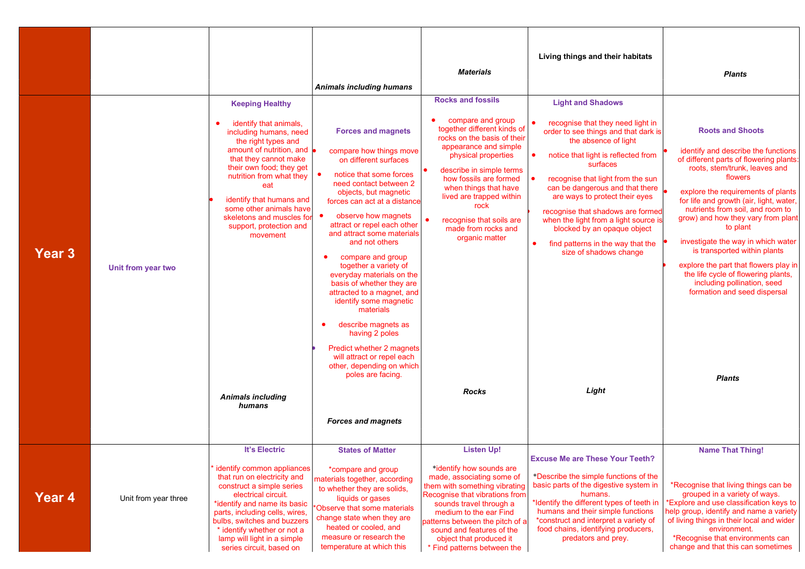| <b>Year 3</b> | Unit from year two   | <b>Keeping Healthy</b><br>identify that animals,<br>including humans, need<br>the right types and<br>amount of nutrition, and<br>that they cannot make<br>their own food; they get<br>nutrition from what they<br>eat<br>identify that humans and<br>some other animals have<br>skeletons and muscles for<br>support, protection and<br>movement | Animals including humans<br><b>Forces and magnets</b><br>compare how things move<br>on different surfaces<br>notice that some forces<br>$\bullet$<br>need contact between 2<br>objects, but magnetic<br>forces can act at a distance<br>observe how magnets<br>attract or repel each other<br>and attract some materials<br>and not others<br>compare and group<br>$\bullet$<br>together a variety of<br>everyday materials on the<br>basis of whether they are<br>attracted to a magnet, and<br>identify some magnetic<br>materials<br>describe magnets as<br>$\bullet$<br>having 2 poles<br>Predict whether 2 magnets | <b>Materials</b><br><b>Rocks and fossils</b><br>compare and group<br>together different kinds of<br>rocks on the basis of their<br>appearance and simple<br>physical properties<br>describe in simple terms<br>how fossils are formed<br>when things that have<br>lived are trapped within<br>rock<br>recognise that soils are<br>made from rocks and<br>organic matter | Living things and their habitats<br><b>Light and Shadows</b><br>recognise that they need light in<br>order to see things and that dark is<br>the absence of light<br>notice that light is reflected from<br>surfaces<br>recognise that light from the sun<br>can be dangerous and that there<br>are ways to protect their eyes<br>recognise that shadows are formed<br>when the light from a light source is<br>blocked by an opaque object<br>find patterns in the way that the<br>$\bullet$<br>size of shadows change | <b>Plants</b><br><b>Roots and Shoots</b><br>identify and describe the functions<br>of different parts of flowering plants:<br>roots, stem/trunk, leaves and<br>flowers<br>explore the requirements of plants<br>for life and growth (air, light, water,<br>nutrients from soil, and room to<br>grow) and how they vary from plant<br>to plant<br>investigate the way in which water<br>is transported within plants<br>explore the part that flowers play in<br>the life cycle of flowering plants,<br>including pollination, seed<br>formation and seed dispersal |
|---------------|----------------------|--------------------------------------------------------------------------------------------------------------------------------------------------------------------------------------------------------------------------------------------------------------------------------------------------------------------------------------------------|-------------------------------------------------------------------------------------------------------------------------------------------------------------------------------------------------------------------------------------------------------------------------------------------------------------------------------------------------------------------------------------------------------------------------------------------------------------------------------------------------------------------------------------------------------------------------------------------------------------------------|-------------------------------------------------------------------------------------------------------------------------------------------------------------------------------------------------------------------------------------------------------------------------------------------------------------------------------------------------------------------------|-------------------------------------------------------------------------------------------------------------------------------------------------------------------------------------------------------------------------------------------------------------------------------------------------------------------------------------------------------------------------------------------------------------------------------------------------------------------------------------------------------------------------|--------------------------------------------------------------------------------------------------------------------------------------------------------------------------------------------------------------------------------------------------------------------------------------------------------------------------------------------------------------------------------------------------------------------------------------------------------------------------------------------------------------------------------------------------------------------|
|               |                      | <b>Animals including</b><br>humans                                                                                                                                                                                                                                                                                                               | will attract or repel each<br>other, depending on which<br>poles are facing.<br><b>Forces and magnets</b>                                                                                                                                                                                                                                                                                                                                                                                                                                                                                                               | <b>Rocks</b>                                                                                                                                                                                                                                                                                                                                                            | Light                                                                                                                                                                                                                                                                                                                                                                                                                                                                                                                   | <b>Plants</b>                                                                                                                                                                                                                                                                                                                                                                                                                                                                                                                                                      |
| Year 4        | Unit from year three | <b>It's Electric</b><br>identify common appliances<br>that run on electricity and<br>construct a simple series<br>electrical circuit.<br>*identify and name its basic<br>parts, including cells, wires,<br>bulbs, switches and buzzers<br>* identify whether or not a<br>lamp will light in a simple<br>series circuit, based on                 | <b>States of Matter</b><br>*compare and group<br>materials together, according<br>to whether they are solids.<br>liquids or gases<br>Observe that some materials<br>change state when they are<br>heated or cooled, and<br>measure or research the<br>temperature at which this                                                                                                                                                                                                                                                                                                                                         | <b>Listen Up!</b><br>*identify how sounds are<br>made, associating some of<br>them with something vibrating<br>Recognise that vibrations from<br>sounds travel through a<br>medium to the ear Find<br>patterns between the pitch of a<br>sound and features of the<br>object that produced it<br>* Find patterns between the                                            | <b>Excuse Me are These Your Teeth?</b><br>*Describe the simple functions of the<br>basic parts of the digestive system in<br>humans.<br>*Identify the different types of teeth in<br>humans and their simple functions<br>*construct and interpret a variety of<br>food chains, identifying producers,<br>predators and prey.                                                                                                                                                                                           | <b>Name That Thing!</b><br>*Recognise that living things can be<br>grouped in a variety of ways.<br><b>Explore and use classification keys to</b><br>help group, identify and name a variety<br>of living things in their local and wider<br>environment.<br>*Recognise that environments can<br>change and that this can sometimes                                                                                                                                                                                                                                |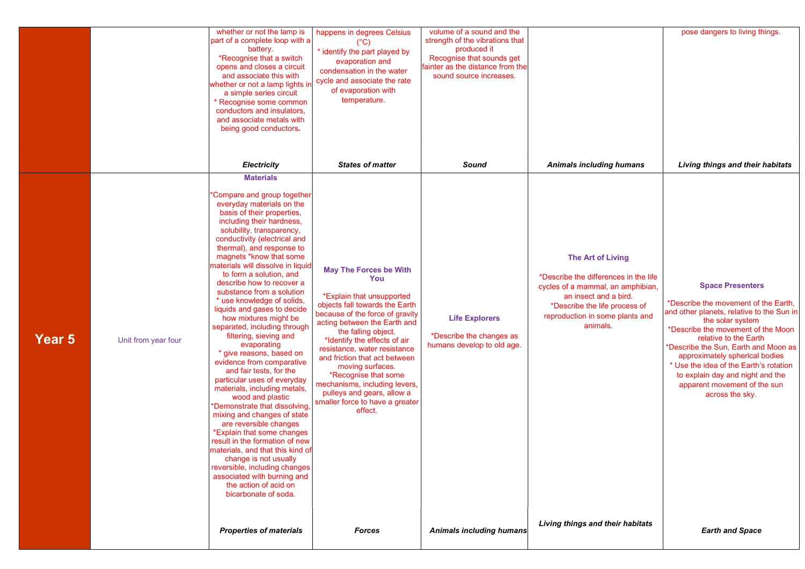|        |                     | whether or not the lamp is<br>part of a complete loop with a<br>battery.<br>*Recognise that a switch<br>opens and closes a circuit<br>and associate this with<br>whether or not a lamp lights in<br>a simple series circuit<br>* Recognise some common<br>conductors and insulators,<br>and associate metals with<br>being good conductors.<br><b>Electricity</b>                                                                                                                                                                                                                                                                                                                                                                                                                                                                                                                                                                                                                                                                                                    | happens in degrees Celsius<br>(°C)<br>* identify the part played by<br>evaporation and<br>condensation in the water<br>cycle and associate the rate<br>of evaporation with<br>temperature.<br><b>States of matter</b>                                                                                                                                                                                                                                   | volume of a sound and the<br>strength of the vibrations that<br>produced it<br>Recognise that sounds get<br>fainter as the distance from the<br>sound source increases.<br>Sound | <b>Animals including humans</b>                                                                                                                                                                          | pose dangers to living things.<br>Living things and their habitats                                                                                                                                                                                                                                                                                                                                         |
|--------|---------------------|----------------------------------------------------------------------------------------------------------------------------------------------------------------------------------------------------------------------------------------------------------------------------------------------------------------------------------------------------------------------------------------------------------------------------------------------------------------------------------------------------------------------------------------------------------------------------------------------------------------------------------------------------------------------------------------------------------------------------------------------------------------------------------------------------------------------------------------------------------------------------------------------------------------------------------------------------------------------------------------------------------------------------------------------------------------------|---------------------------------------------------------------------------------------------------------------------------------------------------------------------------------------------------------------------------------------------------------------------------------------------------------------------------------------------------------------------------------------------------------------------------------------------------------|----------------------------------------------------------------------------------------------------------------------------------------------------------------------------------|----------------------------------------------------------------------------------------------------------------------------------------------------------------------------------------------------------|------------------------------------------------------------------------------------------------------------------------------------------------------------------------------------------------------------------------------------------------------------------------------------------------------------------------------------------------------------------------------------------------------------|
| Year 5 | Unit from year four | <b>Materials</b><br>'Compare and group together<br>everyday materials on the<br>basis of their properties,<br>including their hardness,<br>solubility, transparency,<br>conductivity (electrical and<br>thermal), and response to<br>magnets *know that some<br>materials will dissolve in liquid<br>to form a solution, and<br>describe how to recover a<br>substance from a solution<br>* use knowledge of solids,<br>liquids and gases to decide<br>how mixtures might be<br>separated, including through<br>filtering, sieving and<br>evaporating<br>* give reasons, based on<br>evidence from comparative<br>and fair tests, for the<br>particular uses of everyday<br>materials, including metals,<br>wood and plastic<br>*Demonstrate that dissolving<br>mixing and changes of state<br>are reversible changes<br>*Explain that some changes<br>result in the formation of new<br>materials, and that this kind ofl<br>change is not usually<br>reversible, including changes<br>associated with burning and<br>the action of acid on<br>bicarbonate of soda. | <b>May The Forces be With</b><br>You<br>*Explain that unsupported<br>objects fall towards the Earth<br>because of the force of gravity<br>acting between the Earth and<br>the falling object.<br>*Identify the effects of air<br>resistance, water resistance<br>and friction that act between<br>moving surfaces.<br>*Recognise that some<br>mechanisms, including levers,<br>pulleys and gears, allow a<br>smaller force to have a greater<br>effect. | <b>Life Explorers</b><br>*Describe the changes as<br>humans develop to old age.                                                                                                  | The Art of Living<br>*Describe the differences in the life<br>cycles of a mammal, an amphibian,<br>an insect and a bird.<br>*Describe the life process of<br>reproduction in some plants and<br>animals. | <b>Space Presenters</b><br>*Describe the movement of the Earth,<br>and other planets, relative to the Sun in<br>the solar system<br>*Describe the movement of the Moon<br>relative to the Earth<br>*Describe the Sun, Earth and Moon as<br>approximately spherical bodies<br>* Use the idea of the Earth's rotation<br>to explain day and night and the<br>apparent movement of the sun<br>across the sky. |
|        |                     | <b>Properties of materials</b>                                                                                                                                                                                                                                                                                                                                                                                                                                                                                                                                                                                                                                                                                                                                                                                                                                                                                                                                                                                                                                       | <b>Forces</b>                                                                                                                                                                                                                                                                                                                                                                                                                                           | <b>Animals including humans</b>                                                                                                                                                  | Living things and their habitats                                                                                                                                                                         | <b>Earth and Space</b>                                                                                                                                                                                                                                                                                                                                                                                     |